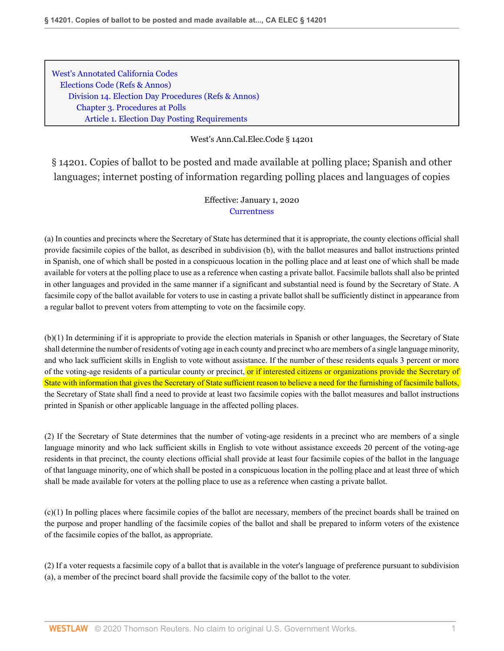[West's Annotated California Codes](http://www.westlaw.com/Browse/Home/StatutesCourtRules/CaliforniaStatutesCourtRules?transitionType=DocumentItem&contextData=(sc.Search)&rs=clbt1.0&vr=3.0) [Elections Code](http://www.westlaw.com/Browse/Home/StatutesCourtRules/CaliforniaStatutesCourtRules?guid=NDD3E5F3A3827417A83395715AE22F508&transitionType=DocumentItem&contextData=(sc.Search)&rs=clbt1.0&vr=3.0) [\(Refs & Annos\)](http://www.westlaw.com/Link/Document/FullText?findType=l&cite=lk(CAELD)+lk(CAELM)+lk(CAELD)+lk(CAELM)+lk(CAELD)+lk(CAELM)+lk(CAELD)+lk(CASTERR)&originatingDoc=N0FCCCEE0EA4E11E9919FF8D46CFDF08F&refType=CM&sourceCite=West%27s+Ann.Cal.Elec.Code+%c2%a7+14201&originationContext=document&vr=3.0&rs=cblt1.0&transitionType=DocumentItem&pubNum=1000206&contextData=(sc.Search)) [Division 14. Election Day Procedures](http://www.westlaw.com/Browse/Home/StatutesCourtRules/CaliforniaStatutesCourtRules?guid=NDD6F258648BE4A9D80CD8AD469B6D568&transitionType=DocumentItem&contextData=(sc.Search)&rs=clbt1.0&vr=3.0) [\(Refs & Annos\)](http://www.westlaw.com/Link/Document/FullText?findType=l&cite=lk(CAELD14R)&originatingDoc=N0FCCCEE0EA4E11E9919FF8D46CFDF08F&refType=CM&sourceCite=West%27s+Ann.Cal.Elec.Code+%c2%a7+14201&originationContext=document&vr=3.0&rs=cblt1.0&transitionType=DocumentItem&pubNum=1000206&contextData=(sc.Search)) [Chapter 3. Procedures at Polls](http://www.westlaw.com/Browse/Home/StatutesCourtRules/CaliforniaStatutesCourtRules?guid=NCD406EFA9AF14AD0B59C09AE4668C497&transitionType=DocumentItem&contextData=(sc.Search)&rs=clbt1.0&vr=3.0) [Article 1. Election Day Posting Requirements](http://www.westlaw.com/Browse/Home/StatutesCourtRules/CaliforniaStatutesCourtRules?guid=N9783217B53D74D87B06000F46683B16B&transitionType=DocumentItem&contextData=(sc.Search)&rs=clbt1.0&vr=3.0)

## West's Ann.Cal.Elec.Code § 14201

§ 14201. Copies of ballot to be posted and made available at polling place; Spanish and other languages; internet posting of information regarding polling places and languages of copies

## Effective: January 1, 2020 **[Currentness](#page-1-0)**

(a) In counties and precincts where the Secretary of State has determined that it is appropriate, the county elections official shall provide facsimile copies of the ballot, as described in subdivision (b), with the ballot measures and ballot instructions printed in Spanish, one of which shall be posted in a conspicuous location in the polling place and at least one of which shall be made available for voters at the polling place to use as a reference when casting a private ballot. Facsimile ballots shall also be printed in other languages and provided in the same manner if a significant and substantial need is found by the Secretary of State. A facsimile copy of the ballot available for voters to use in casting a private ballot shall be sufficiently distinct in appearance from a regular ballot to prevent voters from attempting to vote on the facsimile copy.

(b)(1) In determining if it is appropriate to provide the election materials in Spanish or other languages, the Secretary of State shall determine the number of residents of voting age in each county and precinct who are members of a single language minority, and who lack sufficient skills in English to vote without assistance. If the number of these residents equals 3 percent or more of the voting-age residents of a particular county or precinct, or if interested citizens or organizations provide the Secretary of State with information that gives the Secretary of State sufficient reason to believe a need for the furnishing of facsimile ballots, the Secretary of State shall find a need to provide at least two facsimile copies with the ballot measures and ballot instructions printed in Spanish or other applicable language in the affected polling places.

(2) If the Secretary of State determines that the number of voting-age residents in a precinct who are members of a single language minority and who lack sufficient skills in English to vote without assistance exceeds 20 percent of the voting-age residents in that precinct, the county elections official shall provide at least four facsimile copies of the ballot in the language of that language minority, one of which shall be posted in a conspicuous location in the polling place and at least three of which shall be made available for voters at the polling place to use as a reference when casting a private ballot.

 $(c)(1)$  In polling places where facsimile copies of the ballot are necessary, members of the precinct boards shall be trained on the purpose and proper handling of the facsimile copies of the ballot and shall be prepared to inform voters of the existence of the facsimile copies of the ballot, as appropriate.

(2) If a voter requests a facsimile copy of a ballot that is available in the voter's language of preference pursuant to subdivision (a), a member of the precinct board shall provide the facsimile copy of the ballot to the voter.